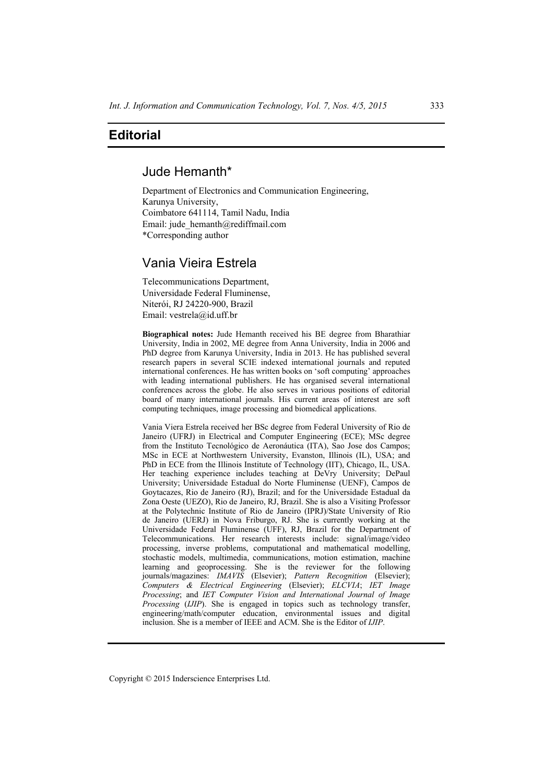# **Editorial**

# Jude Hemanth\*

Department of Electronics and Communication Engineering, Karunya University, Coimbatore 641114, Tamil Nadu, India Email: jude\_hemanth@rediffmail.com \*Corresponding author

# Vania Vieira Estrela

Telecommunications Department, Universidade Federal Fluminense, Niterói, RJ 24220-900, Brazil Email: vestrela@id.uff.br

**Biographical notes:** Jude Hemanth received his BE degree from Bharathiar University, India in 2002, ME degree from Anna University, India in 2006 and PhD degree from Karunya University, India in 2013. He has published several research papers in several SCIE indexed international journals and reputed international conferences. He has written books on 'soft computing' approaches with leading international publishers. He has organised several international conferences across the globe. He also serves in various positions of editorial board of many international journals. His current areas of interest are soft computing techniques, image processing and biomedical applications.

Vania Viera Estrela received her BSc degree from Federal University of Rio de Janeiro (UFRJ) in Electrical and Computer Engineering (ECE); MSc degree from the Instituto Tecnológico de Aeronáutica (ITA), Sao Jose dos Campos; MSc in ECE at Northwestern University, Evanston, Illinois (IL), USA; and PhD in ECE from the Illinois Institute of Technology (IIT), Chicago, IL, USA. Her teaching experience includes teaching at DeVry University; DePaul University; Universidade Estadual do Norte Fluminense (UENF), Campos de Goytacazes, Rio de Janeiro (RJ), Brazil; and for the Universidade Estadual da Zona Oeste (UEZO), Rio de Janeiro, RJ, Brazil. She is also a Visiting Professor at the Polytechnic Institute of Rio de Janeiro (IPRJ)/State University of Rio de Janeiro (UERJ) in Nova Friburgo, RJ. She is currently working at the Universidade Federal Fluminense (UFF), RJ, Brazil for the Department of Telecommunications. Her research interests include: signal/image/video processing, inverse problems, computational and mathematical modelling, stochastic models, multimedia, communications, motion estimation, machine learning and geoprocessing. She is the reviewer for the following journals/magazines: *IMAVIS* (Elsevier); *Pattern Recognition* (Elsevier); *Computers & Electrical Engineering* (Elsevier); *ELCVIA*; *IET Image Processing*; and *IET Computer Vision and International Journal of Image Processing* (*IJIP*). She is engaged in topics such as technology transfer, engineering/math/computer education, environmental issues and digital inclusion. She is a member of IEEE and ACM. She is the Editor of *IJIP*.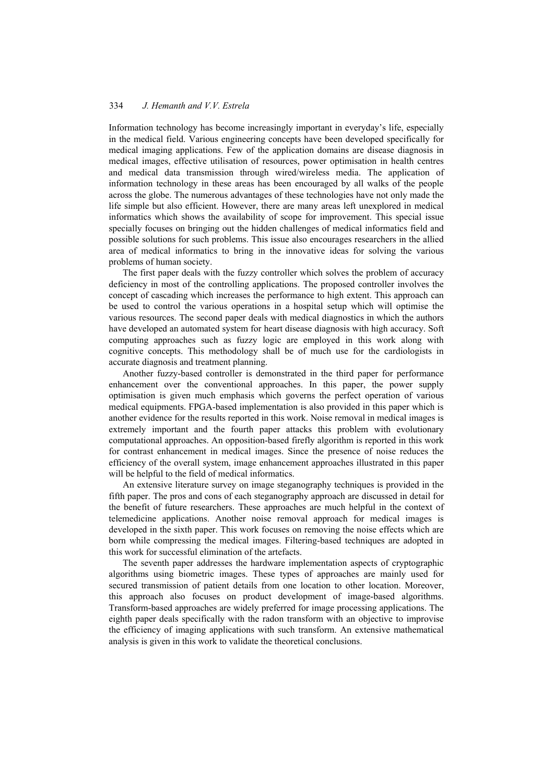#### 334 *J. Hemanth and V.V. Estrela*

Information technology has become increasingly important in everyday's life, especially in the medical field. Various engineering concepts have been developed specifically for medical imaging applications. Few of the application domains are disease diagnosis in medical images, effective utilisation of resources, power optimisation in health centres and medical data transmission through wired/wireless media. The application of information technology in these areas has been encouraged by all walks of the people across the globe. The numerous advantages of these technologies have not only made the life simple but also efficient. However, there are many areas left unexplored in medical informatics which shows the availability of scope for improvement. This special issue specially focuses on bringing out the hidden challenges of medical informatics field and possible solutions for such problems. This issue also encourages researchers in the allied area of medical informatics to bring in the innovative ideas for solving the various problems of human society.

The first paper deals with the fuzzy controller which solves the problem of accuracy deficiency in most of the controlling applications. The proposed controller involves the concept of cascading which increases the performance to high extent. This approach can be used to control the various operations in a hospital setup which will optimise the various resources. The second paper deals with medical diagnostics in which the authors have developed an automated system for heart disease diagnosis with high accuracy. Soft computing approaches such as fuzzy logic are employed in this work along with cognitive concepts. This methodology shall be of much use for the cardiologists in accurate diagnosis and treatment planning.

Another fuzzy-based controller is demonstrated in the third paper for performance enhancement over the conventional approaches. In this paper, the power supply optimisation is given much emphasis which governs the perfect operation of various medical equipments. FPGA-based implementation is also provided in this paper which is another evidence for the results reported in this work. Noise removal in medical images is extremely important and the fourth paper attacks this problem with evolutionary computational approaches. An opposition-based firefly algorithm is reported in this work for contrast enhancement in medical images. Since the presence of noise reduces the efficiency of the overall system, image enhancement approaches illustrated in this paper will be helpful to the field of medical informatics.

An extensive literature survey on image steganography techniques is provided in the fifth paper. The pros and cons of each steganography approach are discussed in detail for the benefit of future researchers. These approaches are much helpful in the context of telemedicine applications. Another noise removal approach for medical images is developed in the sixth paper. This work focuses on removing the noise effects which are born while compressing the medical images. Filtering-based techniques are adopted in this work for successful elimination of the artefacts.

The seventh paper addresses the hardware implementation aspects of cryptographic algorithms using biometric images. These types of approaches are mainly used for secured transmission of patient details from one location to other location. Moreover, this approach also focuses on product development of image-based algorithms. Transform-based approaches are widely preferred for image processing applications. The eighth paper deals specifically with the radon transform with an objective to improvise the efficiency of imaging applications with such transform. An extensive mathematical analysis is given in this work to validate the theoretical conclusions.